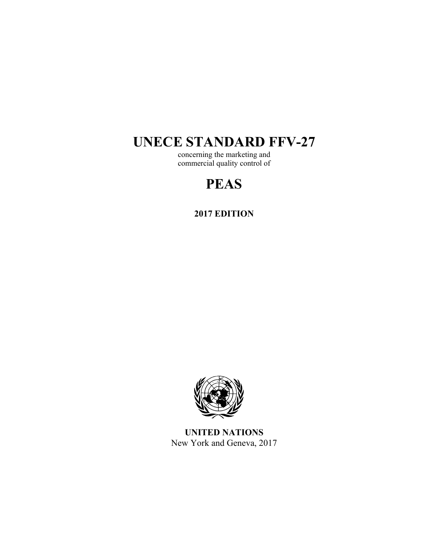# **UNECE STANDARD FFV-27**

concerning the marketing and commercial quality control of

# **PEAS**

**2017 EDITION** 



**UNITED NATIONS**  New York and Geneva, 2017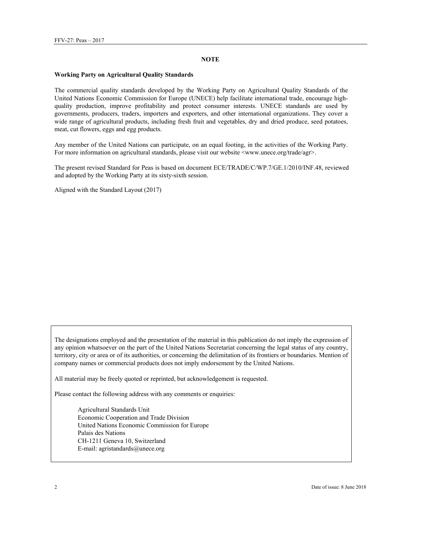#### **NOTE**

#### **Working Party on Agricultural Quality Standards**

The commercial quality standards developed by the Working Party on Agricultural Quality Standards of the United Nations Economic Commission for Europe (UNECE) help facilitate international trade, encourage highquality production, improve profitability and protect consumer interests. UNECE standards are used by governments, producers, traders, importers and exporters, and other international organizations. They cover a wide range of agricultural products, including fresh fruit and vegetables, dry and dried produce, seed potatoes, meat, cut flowers, eggs and egg products.

Any member of the United Nations can participate, on an equal footing, in the activities of the Working Party. For more information on agricultural standards, please visit our website <www.unece.org/trade/agr>.

The present revised Standard for Peas is based on document ECE/TRADE/C/WP.7/GE.1/2010/INF.48, reviewed and adopted by the Working Party at its sixty-sixth session.

Aligned with the Standard Layout (2017)

The designations employed and the presentation of the material in this publication do not imply the expression of any opinion whatsoever on the part of the United Nations Secretariat concerning the legal status of any country, territory, city or area or of its authorities, or concerning the delimitation of its frontiers or boundaries. Mention of company names or commercial products does not imply endorsement by the United Nations.

All material may be freely quoted or reprinted, but acknowledgement is requested.

Please contact the following address with any comments or enquiries:

Agricultural Standards Unit Economic Cooperation and Trade Division United Nations Economic Commission for Europe Palais des Nations CH-1211 Geneva 10, Switzerland E-mail: agristandards@unece.org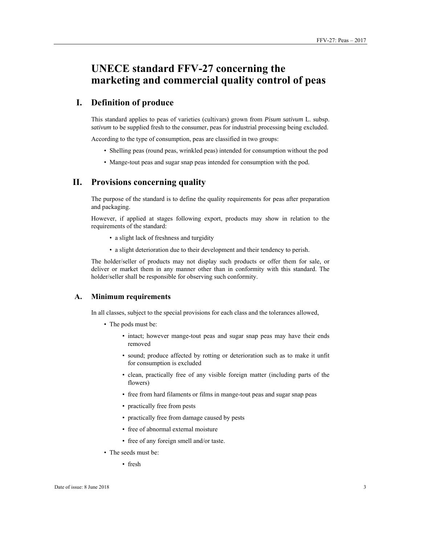# **UNECE standard FFV-27 concerning the marketing and commercial quality control of peas**

# **I. Definition of produce**

This standard applies to peas of varieties (cultivars) grown from *Pisum sativum* L. subsp. *sativum* to be supplied fresh to the consumer, peas for industrial processing being excluded.

According to the type of consumption, peas are classified in two groups:

- Shelling peas (round peas, wrinkled peas) intended for consumption without the pod
- Mange-tout peas and sugar snap peas intended for consumption with the pod.

### **II. Provisions concerning quality**

The purpose of the standard is to define the quality requirements for peas after preparation and packaging.

However, if applied at stages following export, products may show in relation to the requirements of the standard:

- a slight lack of freshness and turgidity
- a slight deterioration due to their development and their tendency to perish.

The holder/seller of products may not display such products or offer them for sale, or deliver or market them in any manner other than in conformity with this standard. The holder/seller shall be responsible for observing such conformity.

#### **A. Minimum requirements**

In all classes, subject to the special provisions for each class and the tolerances allowed,

- The pods must be:
	- intact; however mange-tout peas and sugar snap peas may have their ends removed
	- sound; produce affected by rotting or deterioration such as to make it unfit for consumption is excluded
	- clean, practically free of any visible foreign matter (including parts of the flowers)
	- free from hard filaments or films in mange-tout peas and sugar snap peas
	- practically free from pests
	- practically free from damage caused by pests
	- free of abnormal external moisture
	- free of any foreign smell and/or taste.
- The seeds must be:
	- fresh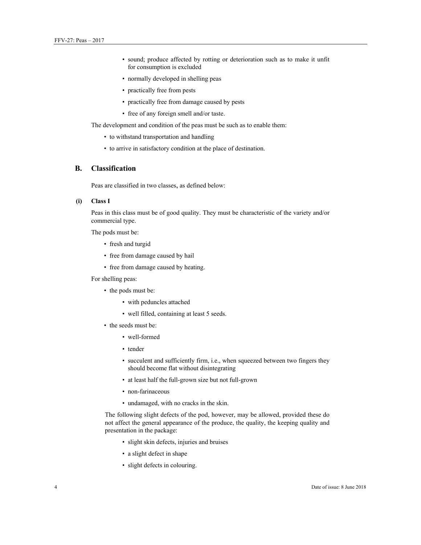- sound; produce affected by rotting or deterioration such as to make it unfit for consumption is excluded
- normally developed in shelling peas
- practically free from pests
- practically free from damage caused by pests
- free of any foreign smell and/or taste.

The development and condition of the peas must be such as to enable them:

- to withstand transportation and handling
- to arrive in satisfactory condition at the place of destination.

### **B. Classification**

Peas are classified in two classes, as defined below:

#### **(i) Class I**

Peas in this class must be of good quality. They must be characteristic of the variety and/or commercial type.

The pods must be:

- fresh and turgid
- free from damage caused by hail
- free from damage caused by heating.

For shelling peas:

- the pods must be:
	- with peduncles attached
	- well filled, containing at least 5 seeds.
- the seeds must be:
	- well-formed
	- tender
	- succulent and sufficiently firm, i.e., when squeezed between two fingers they should become flat without disintegrating
	- at least half the full-grown size but not full-grown
	- non-farinaceous
	- undamaged, with no cracks in the skin.

The following slight defects of the pod, however, may be allowed, provided these do not affect the general appearance of the produce, the quality, the keeping quality and presentation in the package:

- slight skin defects, injuries and bruises
- a slight defect in shape
- slight defects in colouring.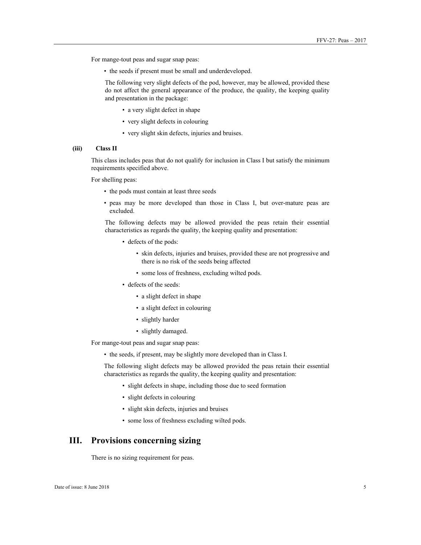For mange-tout peas and sugar snap peas:

• the seeds if present must be small and underdeveloped.

The following very slight defects of the pod, however, may be allowed, provided these do not affect the general appearance of the produce, the quality, the keeping quality and presentation in the package:

- a very slight defect in shape
- very slight defects in colouring
- very slight skin defects, injuries and bruises.

#### **(iii) Class II**

This class includes peas that do not qualify for inclusion in Class I but satisfy the minimum requirements specified above.

For shelling peas:

- the pods must contain at least three seeds
- peas may be more developed than those in Class I, but over-mature peas are excluded.

The following defects may be allowed provided the peas retain their essential characteristics as regards the quality, the keeping quality and presentation:

- defects of the pods:
	- skin defects, injuries and bruises, provided these are not progressive and there is no risk of the seeds being affected
	- some loss of freshness, excluding wilted pods.
- defects of the seeds:
	- a slight defect in shape
	- a slight defect in colouring
	- slightly harder
	- slightly damaged.

For mange-tout peas and sugar snap peas:

• the seeds, if present, may be slightly more developed than in Class I.

The following slight defects may be allowed provided the peas retain their essential characteristics as regards the quality, the keeping quality and presentation:

- slight defects in shape, including those due to seed formation
- slight defects in colouring
- slight skin defects, injuries and bruises
- some loss of freshness excluding wilted pods.

# **III. Provisions concerning sizing**

There is no sizing requirement for peas.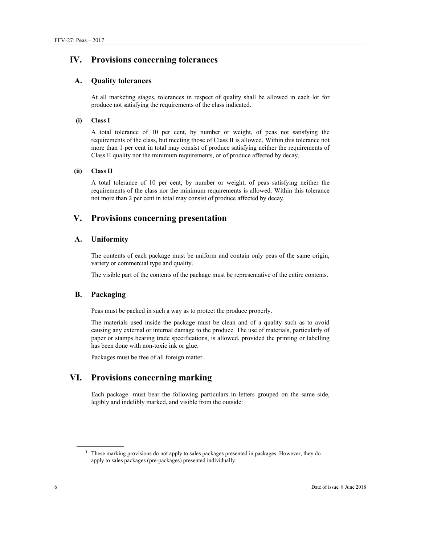# **IV. Provisions concerning tolerances**

#### **A. Quality tolerances**

At all marketing stages, tolerances in respect of quality shall be allowed in each lot for produce not satisfying the requirements of the class indicated.

#### **(i) Class I**

A total tolerance of 10 per cent, by number or weight, of peas not satisfying the requirements of the class, but meeting those of Class II is allowed. Within this tolerance not more than 1 per cent in total may consist of produce satisfying neither the requirements of Class II quality nor the minimum requirements, or of produce affected by decay.

#### **(ii) Class II**

A total tolerance of 10 per cent, by number or weight, of peas satisfying neither the requirements of the class nor the minimum requirements is allowed. Within this tolerance not more than 2 per cent in total may consist of produce affected by decay.

# **V. Provisions concerning presentation**

#### **A. Uniformity**

The contents of each package must be uniform and contain only peas of the same origin, variety or commercial type and quality.

The visible part of the contents of the package must be representative of the entire contents.

## **B. Packaging**

Peas must be packed in such a way as to protect the produce properly.

The materials used inside the package must be clean and of a quality such as to avoid causing any external or internal damage to the produce. The use of materials, particularly of paper or stamps bearing trade specifications, is allowed, provided the printing or labelling has been done with non-toxic ink or glue.

Packages must be free of all foreign matter.

# **VI. Provisions concerning marking**

Each package<sup>1</sup> must bear the following particulars in letters grouped on the same side, legibly and indelibly marked, and visible from the outside:

 $\overline{a}$ 

<sup>&</sup>lt;sup>1</sup> These marking provisions do not apply to sales packages presented in packages. However, they do apply to sales packages (pre-packages) presented individually.